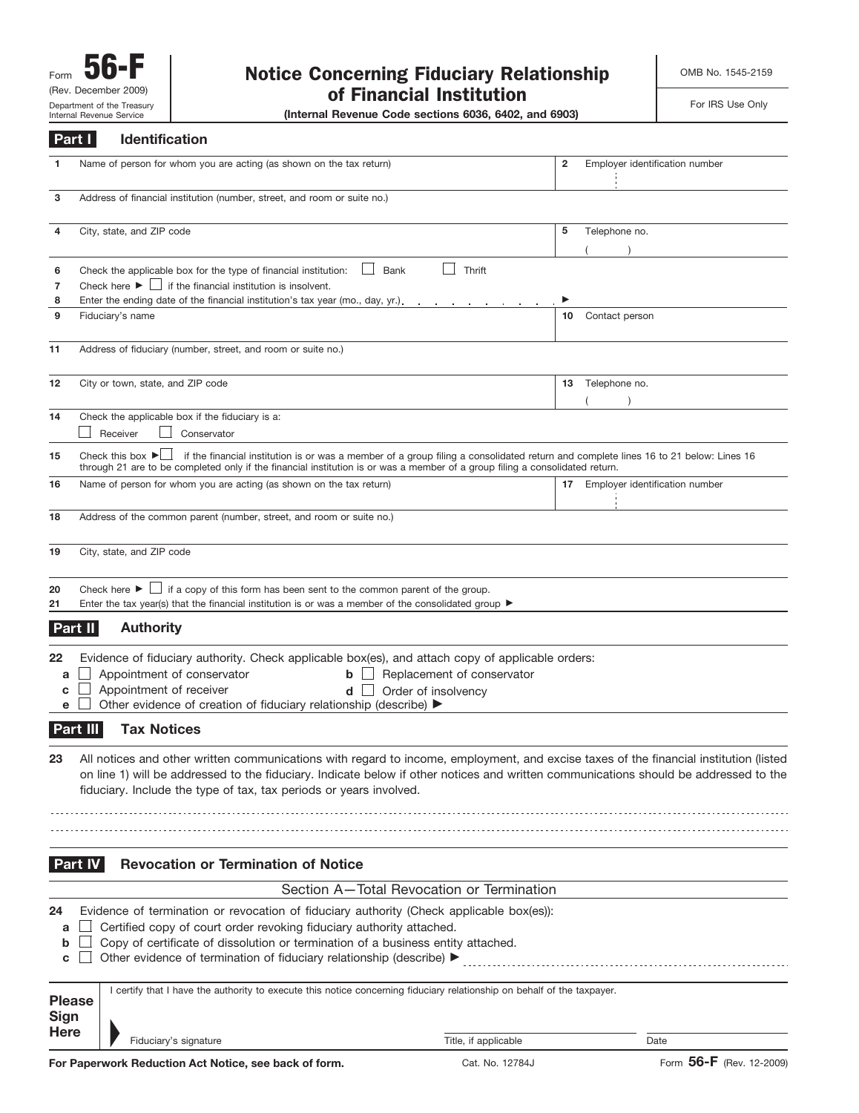# Form **56-F**<br>
(Rev. December 2009) **Notice Concerning Fiduciary Relationship** of Financial Institution

OMB No. 1545-2159

For IRS Use Only

(Internal Revenue Code sections 6036, 6402, and 6903)

| Part I                | Identification                                                                                                                                                                                                                                                                                                                                      |                                                                                                                                     |                                   |
|-----------------------|-----------------------------------------------------------------------------------------------------------------------------------------------------------------------------------------------------------------------------------------------------------------------------------------------------------------------------------------------------|-------------------------------------------------------------------------------------------------------------------------------------|-----------------------------------|
| 1                     | Name of person for whom you are acting (as shown on the tax return)                                                                                                                                                                                                                                                                                 | 2                                                                                                                                   | Employer identification number    |
| 3                     | Address of financial institution (number, street, and room or suite no.)                                                                                                                                                                                                                                                                            |                                                                                                                                     |                                   |
| 4                     | City, state, and ZIP code                                                                                                                                                                                                                                                                                                                           | 5                                                                                                                                   | Telephone no.                     |
| 6<br>7                | Check the applicable box for the type of financial institution:<br>Check here $\blacktriangleright$ $\Box$ if the financial institution is insolvent.                                                                                                                                                                                               | Thrift<br>Bank                                                                                                                      |                                   |
| 8<br>9                | Enter the ending date of the financial institution's tax year (mo., day, yr.).<br>Fiduciary's name                                                                                                                                                                                                                                                  | 10                                                                                                                                  | Contact person                    |
| 11                    | Address of fiduciary (number, street, and room or suite no.)                                                                                                                                                                                                                                                                                        |                                                                                                                                     |                                   |
| 12                    | City or town, state, and ZIP code                                                                                                                                                                                                                                                                                                                   |                                                                                                                                     | 13 Telephone no.<br>$\lambda$     |
| 14                    | Check the applicable box if the fiduciary is a:<br>Receiver<br>Conservator                                                                                                                                                                                                                                                                          |                                                                                                                                     |                                   |
| 15                    | Check this box $\blacktriangleright$<br>through 21 are to be completed only if the financial institution is or was a member of a group filing a consolidated return.                                                                                                                                                                                | if the financial institution is or was a member of a group filing a consolidated return and complete lines 16 to 21 below: Lines 16 |                                   |
| 16                    | Name of person for whom you are acting (as shown on the tax return)                                                                                                                                                                                                                                                                                 |                                                                                                                                     | 17 Employer identification number |
| 18                    | Address of the common parent (number, street, and room or suite no.)                                                                                                                                                                                                                                                                                |                                                                                                                                     |                                   |
| 19                    | City, state, and ZIP code                                                                                                                                                                                                                                                                                                                           |                                                                                                                                     |                                   |
| 20<br>21              | Check here $\blacktriangleright \Box$ if a copy of this form has been sent to the common parent of the group.<br>Enter the tax year(s) that the financial institution is or was a member of the consolidated group $\blacktriangleright$                                                                                                            |                                                                                                                                     |                                   |
| Part II               | <b>Authority</b>                                                                                                                                                                                                                                                                                                                                    |                                                                                                                                     |                                   |
| 22<br>a<br>с<br>е     | Evidence of fiduciary authority. Check applicable box(es), and attach copy of applicable orders:<br>Appointment of conservator<br>$\mathsf{b}$ $\Box$<br>Appointment of receiver<br>$d \Box$<br>Other evidence of creation of fiduciary relationship (describe) ▶                                                                                   | Replacement of conservator<br>Order of insolvency                                                                                   |                                   |
| Part III              | <b>Tax Notices</b>                                                                                                                                                                                                                                                                                                                                  |                                                                                                                                     |                                   |
|                       | All notices and other written communications with regard to income, employment, and excise taxes of the financial institution (listed<br>on line 1) will be addressed to the fiduciary. Indicate below if other notices and written communications should be addressed to the<br>fiduciary. Include the type of tax, tax periods or years involved. |                                                                                                                                     |                                   |
| Part IV               | <b>Revocation or Termination of Notice</b>                                                                                                                                                                                                                                                                                                          |                                                                                                                                     |                                   |
|                       |                                                                                                                                                                                                                                                                                                                                                     | Section A-Total Revocation or Termination                                                                                           |                                   |
| 24<br>a<br>b<br>c     | Evidence of termination or revocation of fiduciary authority (Check applicable box(es)):<br>Certified copy of court order revoking fiduciary authority attached.<br>Copy of certificate of dissolution or termination of a business entity attached.<br>Other evidence of termination of fiduciary relationship (describe) ▶                        |                                                                                                                                     |                                   |
| <b>Please</b><br>Sign | I certify that I have the authority to execute this notice concerning fiduciary relationship on behalf of the taxpayer.                                                                                                                                                                                                                             |                                                                                                                                     |                                   |
| <b>Here</b>           | Fiduciary's signature                                                                                                                                                                                                                                                                                                                               | Title, if applicable                                                                                                                | Date                              |
|                       | For Paperwork Reduction Act Notice, see back of form.                                                                                                                                                                                                                                                                                               | Cat. No. 12784J                                                                                                                     | Form 56-F (Rev. 12-2009)          |